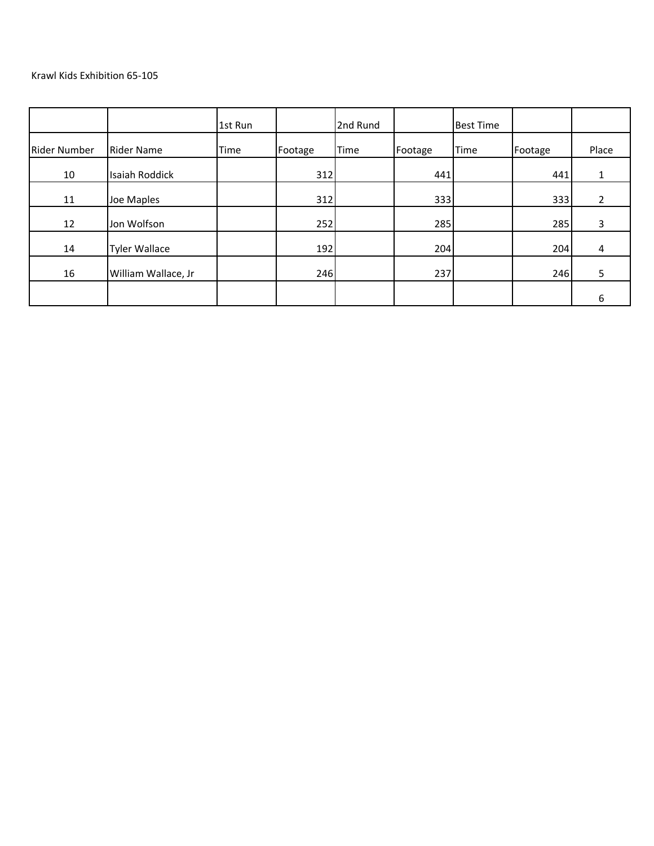|                     |                       | 1st Run     |         | 2nd Rund |         | <b>Best Time</b> |         |       |
|---------------------|-----------------------|-------------|---------|----------|---------|------------------|---------|-------|
| <b>Rider Number</b> | <b>Rider Name</b>     | <b>Time</b> | Footage | Time     | Footage | <b>Time</b>      | Footage | Place |
| 10                  | <b>Isaiah Roddick</b> |             | 312     |          | 441     |                  | 441     | Ŧ.    |
| 11                  | Joe Maples            |             | 312     |          | 333     |                  | 333     | 2     |
| 12                  | Jon Wolfson           |             | 252     |          | 285     |                  | 285     | 3     |
| 14                  | <b>Tyler Wallace</b>  |             | 192     |          | 204     |                  | 204     | 4     |
| 16                  | William Wallace, Jr   |             | 246     |          | 237     |                  | 246     | 5     |
|                     |                       |             |         |          |         |                  |         | 6     |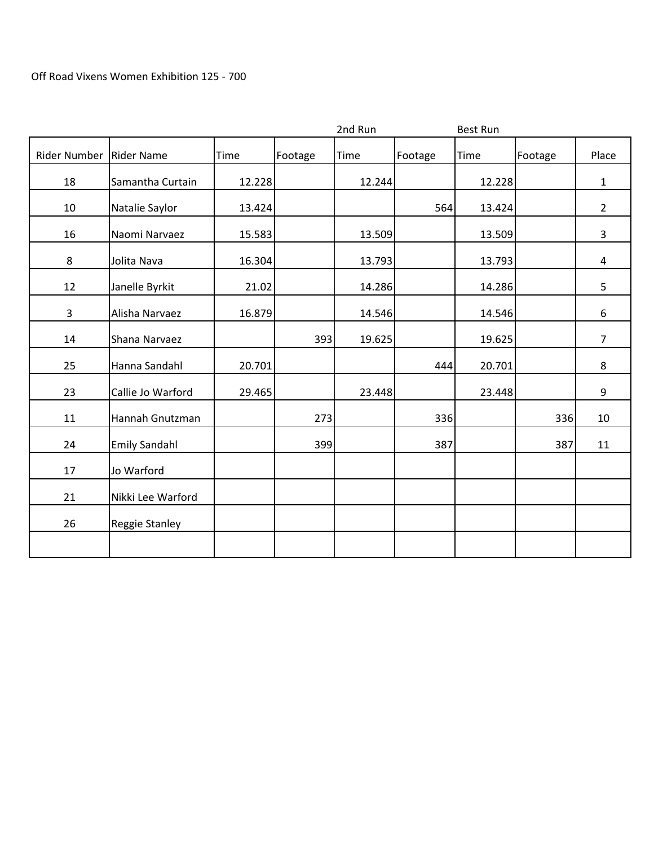|                |                      |             |         | 2nd Run     |         | <b>Best Run</b> |         |                |
|----------------|----------------------|-------------|---------|-------------|---------|-----------------|---------|----------------|
| Rider Number   | <b>Rider Name</b>    | <b>Time</b> | Footage | <b>Time</b> | Footage | Time            | Footage | Place          |
| 18             | Samantha Curtain     | 12.228      |         | 12.244      |         | 12.228          |         | $\mathbf{1}$   |
| 10             | Natalie Saylor       | 13.424      |         |             | 564     | 13.424          |         | $\overline{2}$ |
| 16             | Naomi Narvaez        | 15.583      |         | 13.509      |         | 13.509          |         | $\overline{3}$ |
| 8              | Jolita Nava          | 16.304      |         | 13.793      |         | 13.793          |         | 4              |
| 12             | Janelle Byrkit       | 21.02       |         | 14.286      |         | 14.286          |         | 5              |
| $\overline{3}$ | Alisha Narvaez       | 16.879      |         | 14.546      |         | 14.546          |         | 6              |
| 14             | Shana Narvaez        |             | 393     | 19.625      |         | 19.625          |         | $\overline{7}$ |
| 25             | Hanna Sandahl        | 20.701      |         |             | 444     | 20.701          |         | 8              |
| 23             | Callie Jo Warford    | 29.465      |         | 23.448      |         | 23.448          |         | 9              |
| 11             | Hannah Gnutzman      |             | 273     |             | 336     |                 | 336     | 10             |
| 24             | <b>Emily Sandahl</b> |             | 399     |             | 387     |                 | 387     | 11             |
| 17             | Jo Warford           |             |         |             |         |                 |         |                |
| 21             | Nikki Lee Warford    |             |         |             |         |                 |         |                |
| 26             | Reggie Stanley       |             |         |             |         |                 |         |                |
|                |                      |             |         |             |         |                 |         |                |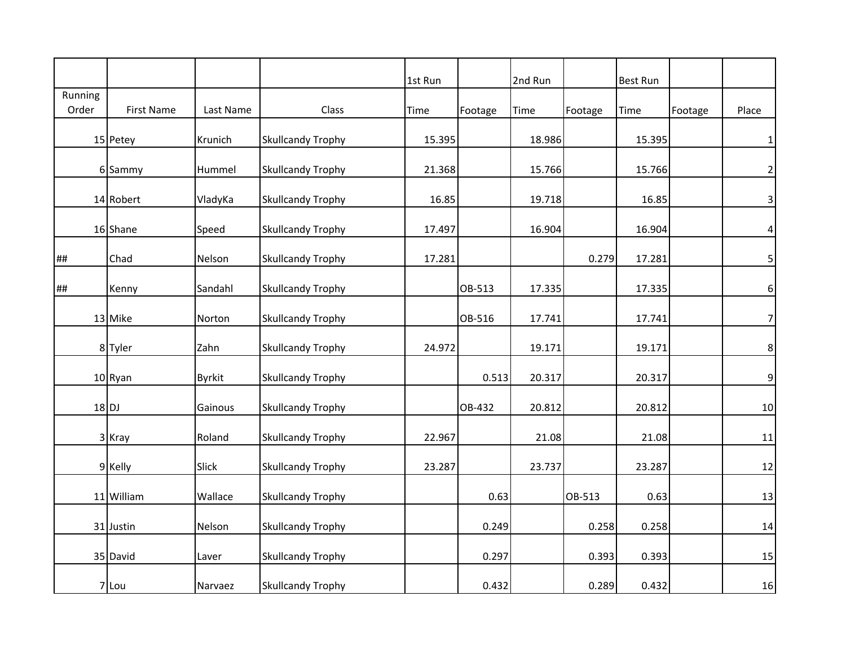|         |                   |               |                          | 1st Run |         | 2nd Run |         | <b>Best Run</b> |         |                         |
|---------|-------------------|---------------|--------------------------|---------|---------|---------|---------|-----------------|---------|-------------------------|
| Running |                   |               |                          |         |         |         |         |                 |         |                         |
| Order   | <b>First Name</b> | Last Name     | Class                    | Time    | Footage | Time    | Footage | Time            | Footage | Place                   |
|         | 15 Petey          | Krunich       | <b>Skullcandy Trophy</b> | 15.395  |         | 18.986  |         | 15.395          |         | $\mathbf{1}$            |
|         | 6 Sammy           | Hummel        | <b>Skullcandy Trophy</b> | 21.368  |         | 15.766  |         | 15.766          |         | $\overline{2}$          |
|         | 14 Robert         | VladyKa       | <b>Skullcandy Trophy</b> | 16.85   |         | 19.718  |         | 16.85           |         | $\overline{\mathbf{3}}$ |
|         | 16 Shane          | Speed         | <b>Skullcandy Trophy</b> | 17.497  |         | 16.904  |         | 16.904          |         | $\vert 4 \vert$         |
| ##      | Chad              | Nelson        | <b>Skullcandy Trophy</b> | 17.281  |         |         | 0.279   | 17.281          |         | 5                       |
| ##      | Kenny             | Sandahl       | <b>Skullcandy Trophy</b> |         | OB-513  | 17.335  |         | 17.335          |         | $\boldsymbol{6}$        |
|         | 13 Mike           | Norton        | <b>Skullcandy Trophy</b> |         | OB-516  | 17.741  |         | 17.741          |         | 7                       |
|         | 8 Tyler           | Zahn          | <b>Skullcandy Trophy</b> | 24.972  |         | 19.171  |         | 19.171          |         | $\bf 8$                 |
|         | 10 Ryan           | <b>Byrkit</b> | <b>Skullcandy Trophy</b> |         | 0.513   | 20.317  |         | 20.317          |         | 9                       |
|         | $18$ DJ           | Gainous       | <b>Skullcandy Trophy</b> |         | OB-432  | 20.812  |         | 20.812          |         | 10                      |
|         | 3 Kray            | Roland        | <b>Skullcandy Trophy</b> | 22.967  |         | 21.08   |         | 21.08           |         | 11                      |
|         | 9 Kelly           | Slick         | <b>Skullcandy Trophy</b> | 23.287  |         | 23.737  |         | 23.287          |         | 12                      |
|         | 11 William        | Wallace       | <b>Skullcandy Trophy</b> |         | 0.63    |         | OB-513  | 0.63            |         | 13                      |
|         | 31 Justin         | Nelson        | <b>Skullcandy Trophy</b> |         | 0.249   |         | 0.258   | 0.258           |         | 14                      |
|         | 35 David          | Laver         | <b>Skullcandy Trophy</b> |         | 0.297   |         | 0.393   | 0.393           |         | 15                      |
|         | 7 Lou             | Narvaez       | <b>Skullcandy Trophy</b> |         | 0.432   |         | 0.289   | 0.432           |         | 16                      |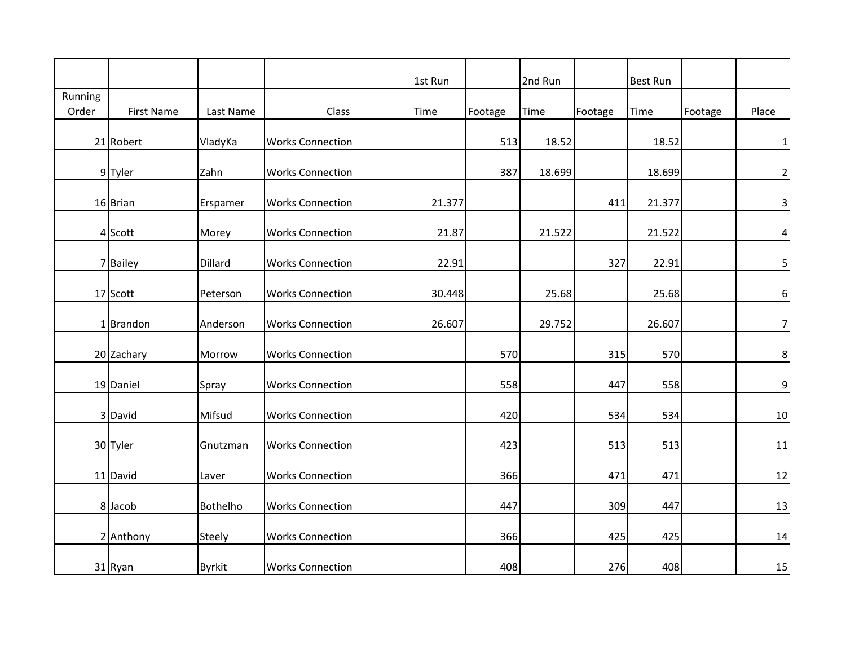|         |                   |               |                         | 1st Run |         | 2nd Run |         | <b>Best Run</b> |         |                 |
|---------|-------------------|---------------|-------------------------|---------|---------|---------|---------|-----------------|---------|-----------------|
| Running |                   |               |                         |         |         |         |         |                 |         |                 |
| Order   | <b>First Name</b> | Last Name     | Class                   | Time    | Footage | Time    | Footage | Time            | Footage | Place           |
|         |                   |               |                         |         |         |         |         |                 |         |                 |
|         | 21 Robert         | VladyKa       | <b>Works Connection</b> |         | 513     | 18.52   |         | 18.52           |         | 1               |
|         | 9 Tyler           | Zahn          | <b>Works Connection</b> |         | 387     | 18.699  |         | 18.699          |         | $\overline{2}$  |
|         | 16 Brian          | Erspamer      | <b>Works Connection</b> | 21.377  |         |         | 411     | 21.377          |         | $\vert$ 3       |
|         | 4 Scott           | Morey         | <b>Works Connection</b> | 21.87   |         | 21.522  |         | 21.522          |         | $\vert 4 \vert$ |
|         | 7 Bailey          | Dillard       | <b>Works Connection</b> | 22.91   |         |         | 327     | 22.91           |         | $\mathsf{5}$    |
|         | 17 Scott          | Peterson      | <b>Works Connection</b> | 30.448  |         | 25.68   |         | 25.68           |         | $6 \mid$        |
|         | 1 Brandon         | Anderson      | <b>Works Connection</b> | 26.607  |         | 29.752  |         | 26.607          |         | 7               |
|         | 20 Zachary        | Morrow        | <b>Works Connection</b> |         | 570     |         | 315     | 570             |         | $\bf 8$         |
|         | 19 Daniel         | Spray         | <b>Works Connection</b> |         | 558     |         | 447     | 558             |         | $\overline{9}$  |
|         | 3 David           | Mifsud        | <b>Works Connection</b> |         | 420     |         | 534     | 534             |         | 10              |
|         | 30 Tyler          | Gnutzman      | <b>Works Connection</b> |         | 423     |         | 513     | 513             |         | 11              |
|         | 11 David          | Laver         | <b>Works Connection</b> |         | 366     |         | 471     | 471             |         | 12              |
|         | 8 Jacob           | Bothelho      | <b>Works Connection</b> |         | 447     |         | 309     | 447             |         | 13              |
|         | 2 Anthony         | <b>Steely</b> | <b>Works Connection</b> |         | 366     |         | 425     | 425             |         | 14              |
|         | 31 Ryan           | <b>Byrkit</b> | <b>Works Connection</b> |         | 408     |         | 276     | 408             |         | 15              |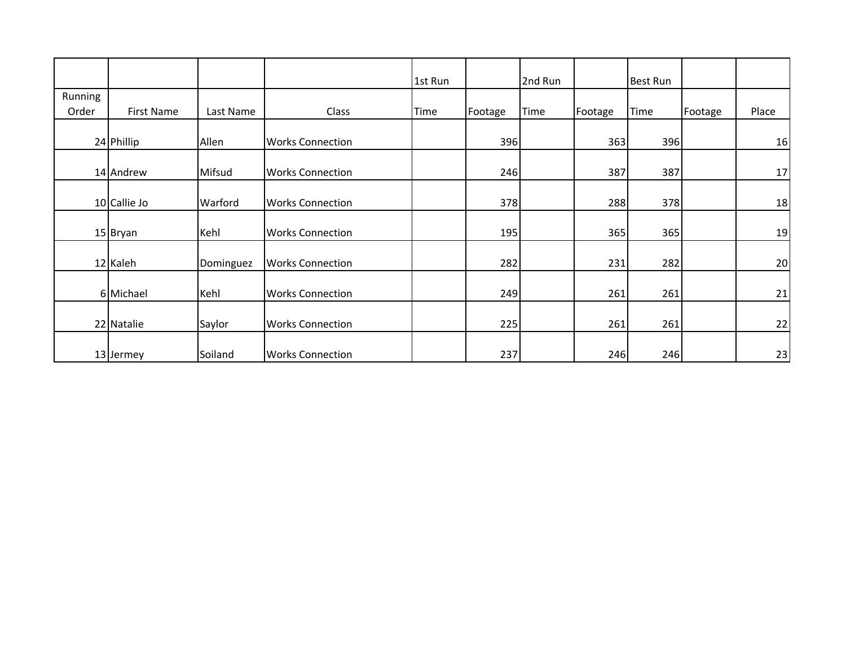|         |              |           |                         | 1st Run     |         | 2nd Run     |         | <b>Best Run</b> |         |       |
|---------|--------------|-----------|-------------------------|-------------|---------|-------------|---------|-----------------|---------|-------|
| Running |              |           |                         |             |         |             |         |                 |         |       |
| Order   | First Name   | Last Name | Class                   | <b>Time</b> | Footage | <b>Time</b> | Footage | Time            | Footage | Place |
|         |              |           |                         |             |         |             |         |                 |         |       |
|         | 24 Phillip   | Allen     | <b>Works Connection</b> |             | 396     |             | 363     | 396             |         | 16    |
|         |              |           |                         |             |         |             |         |                 |         |       |
|         | 14 Andrew    | Mifsud    | <b>Works Connection</b> |             | 246     |             | 387     | 387             |         | 17    |
|         |              |           |                         |             |         |             |         |                 |         |       |
|         | 10 Callie Jo | Warford   | <b>Works Connection</b> |             | 378     |             | 288     | 378             |         | 18    |
|         |              |           |                         |             |         |             |         |                 |         |       |
|         | 15 Bryan     | Kehl      | <b>Works Connection</b> |             | 195     |             | 365     | 365             |         | 19    |
|         |              |           |                         |             |         |             |         |                 |         |       |
|         | 12 Kaleh     | Dominguez | <b>Works Connection</b> |             | 282     |             | 231     | 282             |         | 20    |
|         |              |           |                         |             |         |             |         |                 |         |       |
|         | 6 Michael    | Kehl      | <b>Works Connection</b> |             | 249     |             | 261     | 261             |         | 21    |
|         |              |           |                         |             |         |             |         |                 |         |       |
|         | 22 Natalie   | Saylor    | <b>Works Connection</b> |             | 225     |             | 261     | 261             |         | 22    |
|         |              |           |                         |             |         |             |         |                 |         |       |
|         | 13 Jermey    | Soiland   | <b>Works Connection</b> |             | 237     |             | 246     | 246             |         | 23    |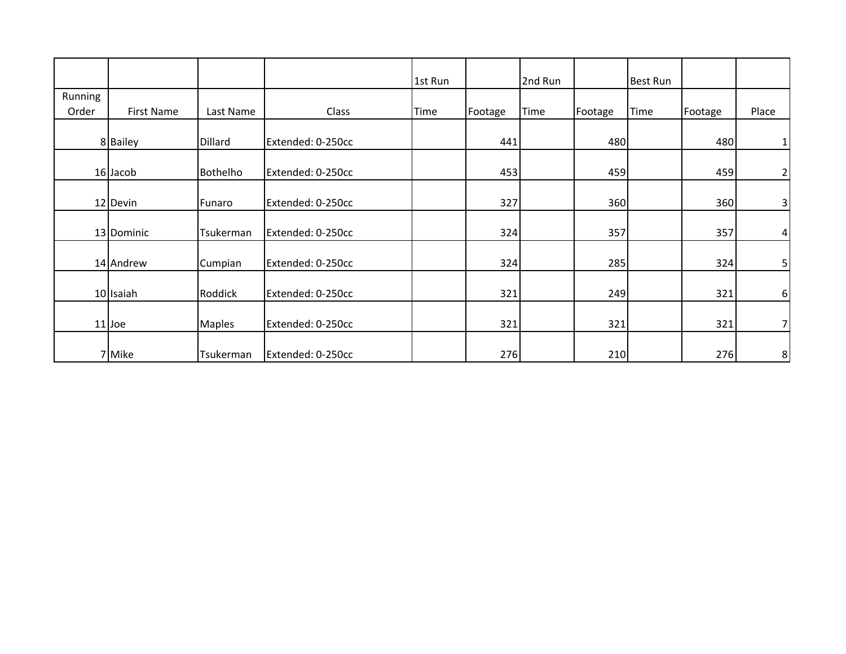|         |                   |               |                   | 1st Run |         | 2nd Run     |         | <b>Best Run</b> |         |                |
|---------|-------------------|---------------|-------------------|---------|---------|-------------|---------|-----------------|---------|----------------|
| Running |                   |               |                   |         |         |             |         |                 |         |                |
| Order   | <b>First Name</b> | Last Name     | Class             | Time    | Footage | <b>Time</b> | Footage | Time            | Footage | Place          |
|         |                   |               |                   |         |         |             |         |                 |         |                |
|         | 8 Bailey          | Dillard       | Extended: 0-250cc |         | 441     |             | 480     |                 | 480     | $1\vert$       |
|         |                   |               |                   |         |         |             |         |                 |         |                |
|         | 16 Jacob          | Bothelho      | Extended: 0-250cc |         | 453     |             | 459     |                 | 459     | 2              |
|         | 12 Devin          | Funaro        | Extended: 0-250cc |         | 327     |             | 360     |                 | 360     | 3              |
|         |                   |               |                   |         |         |             |         |                 |         |                |
|         | 13 Dominic        | Tsukerman     | Extended: 0-250cc |         | 324     |             | 357     |                 | 357     | $\overline{4}$ |
|         | 14 Andrew         | Cumpian       | Extended: 0-250cc |         | 324     |             | 285     |                 | 324     | $\mathsf{5}$   |
|         | 10 Isaiah         | Roddick       | Extended: 0-250cc |         | 321     |             | 249     |                 | 321     | $6 \mid$       |
|         | $11$ Joe          | <b>Maples</b> | Extended: 0-250cc |         | 321     |             | 321     |                 | 321     | 7              |
|         | 7 Mike            | Tsukerman     | Extended: 0-250cc |         | 276     |             | 210     |                 | 276     | 8 <sup>1</sup> |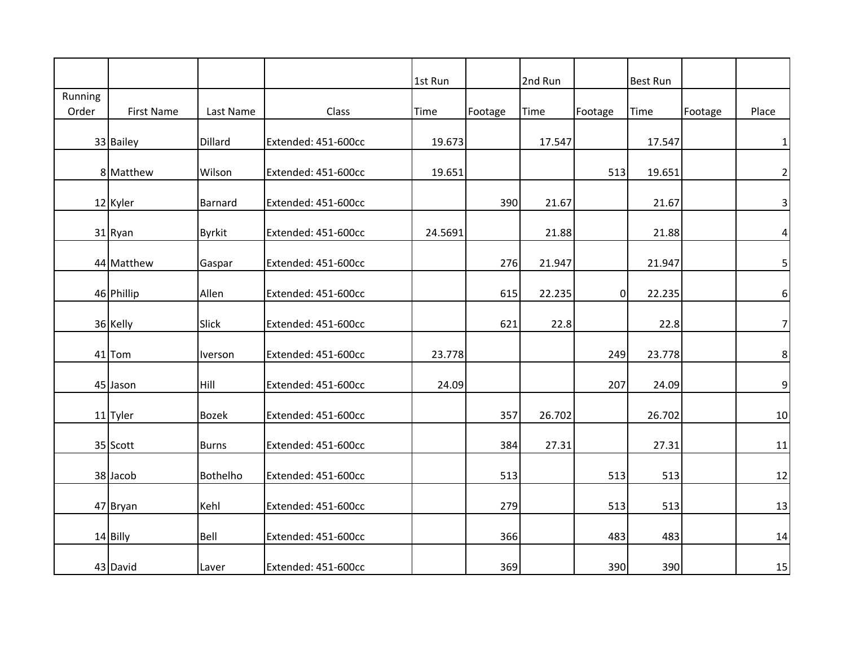|         |                   |               |                     | 1st Run |         | 2nd Run     |                | <b>Best Run</b> |         |                 |
|---------|-------------------|---------------|---------------------|---------|---------|-------------|----------------|-----------------|---------|-----------------|
| Running |                   |               |                     |         |         |             |                |                 |         |                 |
| Order   | <b>First Name</b> | Last Name     | Class               | Time    | Footage | <b>Time</b> | Footage        | Time            | Footage | Place           |
|         |                   |               |                     |         |         |             |                |                 |         |                 |
|         | 33 Bailey         | Dillard       | Extended: 451-600cc | 19.673  |         | 17.547      |                | 17.547          |         | 1               |
|         | 8 Matthew         | Wilson        | Extended: 451-600cc | 19.651  |         |             | 513            | 19.651          |         | $\overline{2}$  |
|         | 12 Kyler          | Barnard       | Extended: 451-600cc |         | 390     | 21.67       |                | 21.67           |         | $\vert$         |
|         | 31 Ryan           | <b>Byrkit</b> | Extended: 451-600cc | 24.5691 |         | 21.88       |                | 21.88           |         | $\vert 4 \vert$ |
|         | 44 Matthew        | Gaspar        | Extended: 451-600cc |         | 276     | 21.947      |                | 21.947          |         | $\mathbf{5}$    |
|         | 46 Phillip        | Allen         | Extended: 451-600cc |         | 615     | 22.235      | $\overline{0}$ | 22.235          |         | $6 \mid$        |
|         | 36 Kelly          | Slick         | Extended: 451-600cc |         | 621     | 22.8        |                | 22.8            |         | 7 <sup>1</sup>  |
|         | 41 Tom            | Iverson       | Extended: 451-600cc | 23.778  |         |             | 249            | 23.778          |         | 8 <sup>1</sup>  |
|         | 45 Jason          | Hill          | Extended: 451-600cc | 24.09   |         |             | 207            | 24.09           |         | $\overline{9}$  |
|         | 11 Tyler          | <b>Bozek</b>  | Extended: 451-600cc |         | 357     | 26.702      |                | 26.702          |         | 10              |
|         | 35 Scott          | <b>Burns</b>  | Extended: 451-600cc |         | 384     | 27.31       |                | 27.31           |         | 11              |
|         | 38 Jacob          | Bothelho      | Extended: 451-600cc |         | 513     |             | 513            | 513             |         | 12              |
|         | 47 Bryan          | Kehl          | Extended: 451-600cc |         | 279     |             | 513            | 513             |         | 13              |
|         | 14 Billy          | Bell          | Extended: 451-600cc |         | 366     |             | 483            | 483             |         | 14              |
|         | 43 David          | Laver         | Extended: 451-600cc |         | 369     |             | 390            | 390             |         | 15              |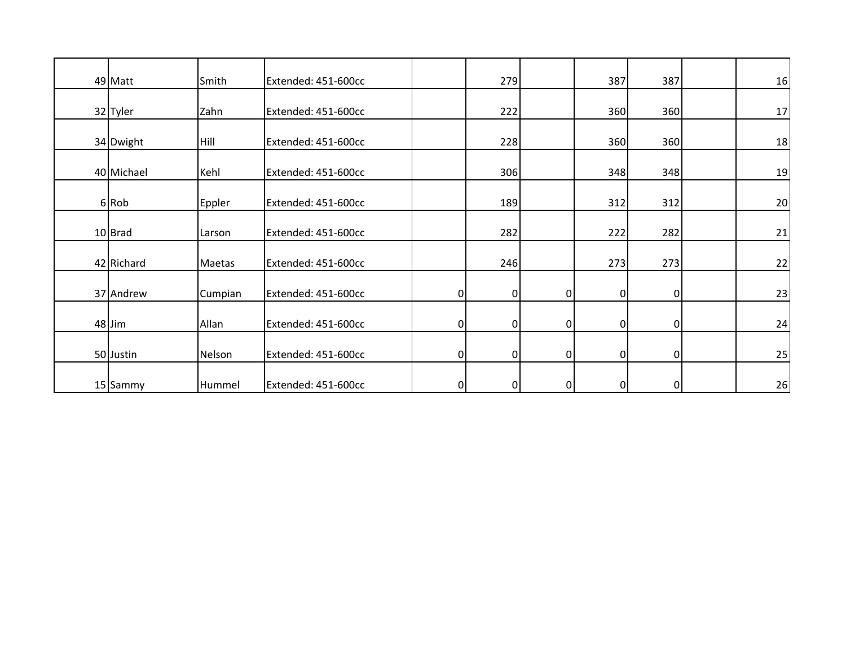| 49 Matt    | Smith   | Extended: 451-600cc |                | 279         |                | 387            | 387            | 16 |
|------------|---------|---------------------|----------------|-------------|----------------|----------------|----------------|----|
| 32 Tyler   | Zahn    | Extended: 451-600cc |                | 222         |                | 360            | 360            | 17 |
| 34 Dwight  | Hill    | Extended: 451-600cc |                | 228         |                | 360            | 360            | 18 |
| 40 Michael | Kehl    | Extended: 451-600cc |                | 306         |                | 348            | 348            | 19 |
| 6 Rob      | Eppler  | Extended: 451-600cc |                | 189         |                | 312            | 312            | 20 |
| 10 Brad    | Larson  | Extended: 451-600cc |                | 282         |                | 222            | 282            | 21 |
| 42 Richard | Maetas  | Extended: 451-600cc |                | 246         |                | 273            | 273            | 22 |
| 37 Andrew  | Cumpian | Extended: 451-600cc | $\overline{0}$ | $\mathbf 0$ | $\overline{0}$ | $\overline{0}$ | $\overline{0}$ | 23 |
| 48 Jim     | Allan   | Extended: 451-600cc | $\overline{0}$ | $\pmb{0}$   | $\overline{0}$ | 0              | $\overline{0}$ | 24 |
| 50 Justin  | Nelson  | Extended: 451-600cc | $\overline{0}$ | $\mathbf 0$ | $\overline{0}$ | $\mathbf 0$    | οI             | 25 |
| 15 Sammy   | Hummel  | Extended: 451-600cc | $\overline{0}$ | $\mathbf 0$ | $\overline{0}$ | $\mathbf 0$    | $\overline{0}$ | 26 |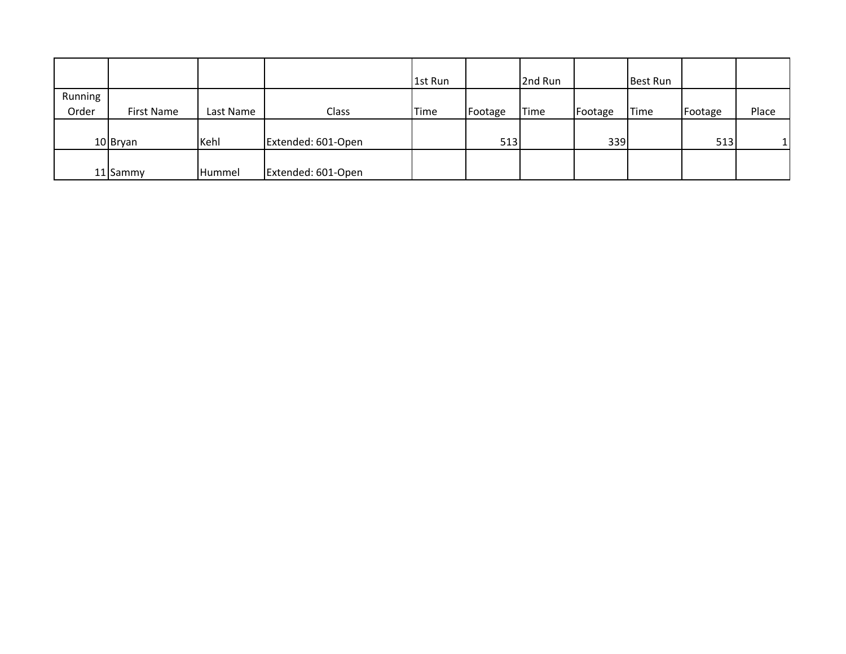|         |            |               |                    | 1st Run |         | 2nd Run |         | <b>Best Run</b> |         |       |
|---------|------------|---------------|--------------------|---------|---------|---------|---------|-----------------|---------|-------|
| Running |            |               |                    |         |         |         |         |                 |         |       |
| Order   | First Name | Last Name     | Class              | Time    | Footage | Time    | Footage | <b>Time</b>     | Footage | Place |
|         |            |               |                    |         |         |         |         |                 |         |       |
|         | 10 Bryan   | Kehl          | Extended: 601-Open |         | 513     |         | 339     |                 | 513     | 11    |
|         |            |               |                    |         |         |         |         |                 |         |       |
|         | 11 Sammy   | <b>Hummel</b> | Extended: 601-Open |         |         |         |         |                 |         |       |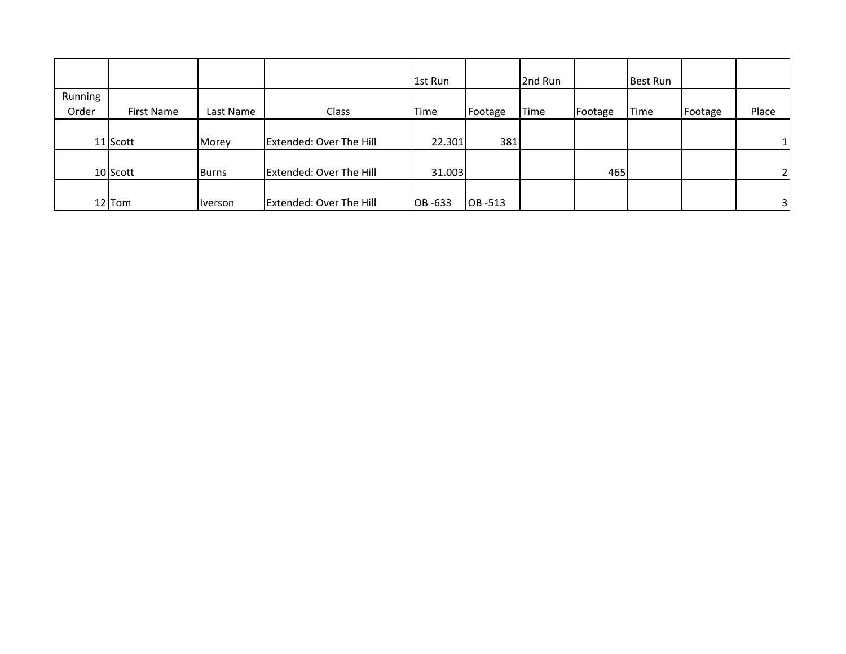|         |            |                |                                | 1st Run |             | 2nd Run     |         | Best Run    |         |                |
|---------|------------|----------------|--------------------------------|---------|-------------|-------------|---------|-------------|---------|----------------|
| Running |            |                |                                |         |             |             |         |             |         |                |
| Order   | First Name | Last Name      | Class                          | Time    | Footage     | <b>Time</b> | Footage | <b>Time</b> | Footage | Place          |
|         |            |                |                                |         |             |             |         |             |         |                |
|         | 11 Scott   | Morey          | Extended: Over The Hill        | 22.301  | 381         |             |         |             |         | 11             |
|         |            |                |                                |         |             |             |         |             |         |                |
|         | 10 Scott   | <b>Burns</b>   | <b>Extended: Over The Hill</b> | 31.003  |             |             | 465     |             |         | 21             |
|         |            |                |                                |         |             |             |         |             |         |                |
|         | 12 Tom     | <i>Iverson</i> | <b>Extended: Over The Hill</b> | OB-633  | $ OB - 513$ |             |         |             |         | 3 <sup>1</sup> |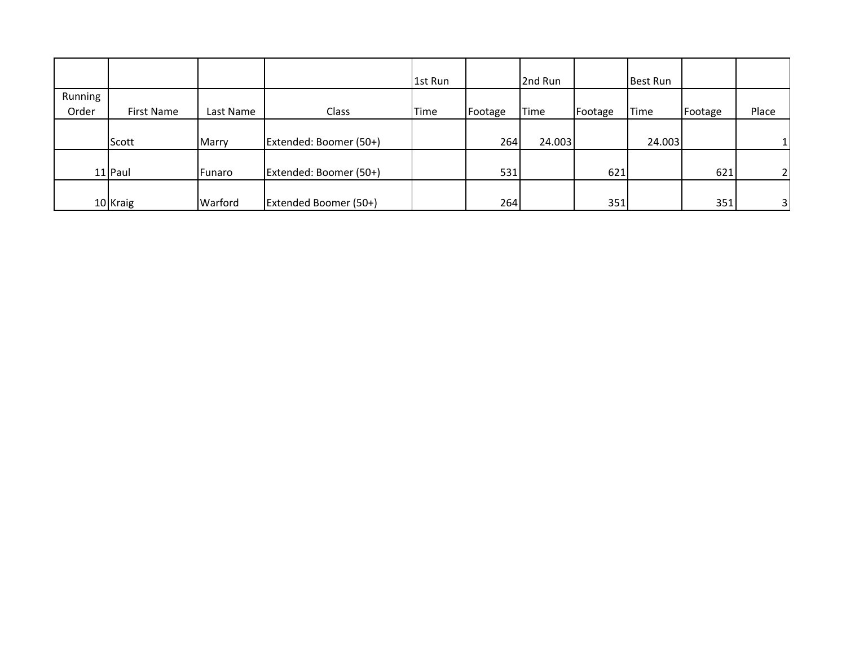|         |            |           |                        | 1st Run |         | 2nd Run     |         | <b>Best Run</b> |         |                          |
|---------|------------|-----------|------------------------|---------|---------|-------------|---------|-----------------|---------|--------------------------|
| Running |            |           |                        |         |         |             |         |                 |         |                          |
| Order   | First Name | Last Name | Class                  | Time    | Footage | <b>Time</b> | Footage | Time            | Footage | Place                    |
|         |            |           |                        |         |         |             |         |                 |         |                          |
|         | Scott      | Marry     | Extended: Boomer (50+) |         | 264     | 24.003      |         | 24.003          |         |                          |
|         |            |           |                        |         |         |             |         |                 |         |                          |
|         | 11 Paul    | Funaro    | Extended: Boomer (50+) |         | 531     |             | 621     |                 | 621     | $\overline{\phantom{a}}$ |
|         |            |           |                        |         |         |             |         |                 |         |                          |
|         | 10 Kraig   | Warford   | Extended Boomer (50+)  |         | 264     |             | 351     |                 | 351     | 31                       |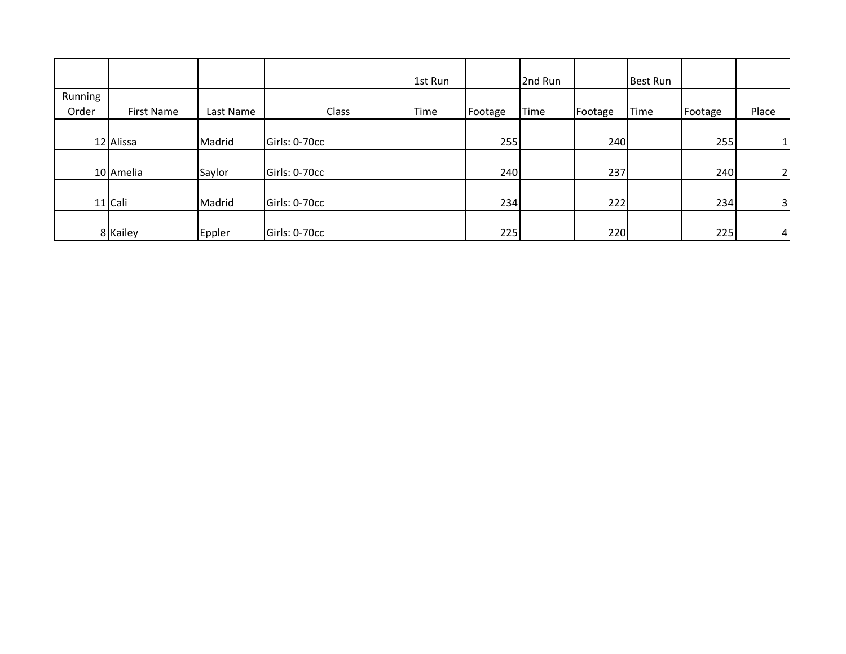|         |            |           |               | 1st Run |         | 2nd Run |         | Best Run    |         |                |
|---------|------------|-----------|---------------|---------|---------|---------|---------|-------------|---------|----------------|
| Running |            |           |               |         |         |         |         |             |         |                |
| Order   | First Name | Last Name | Class         | Time    | Footage | Time    | Footage | <b>Time</b> | Footage | Place          |
|         |            |           |               |         |         |         |         |             |         |                |
|         | 12 Alissa  | Madrid    | Girls: 0-70cc |         | 255     |         | 240     |             | 255     | $1\vert$       |
|         |            |           |               |         |         |         |         |             |         |                |
|         | 10 Amelia  | Saylor    | Girls: 0-70cc |         | 240     |         | 237     |             | 240     | 2 <sub>1</sub> |
|         |            |           |               |         |         |         |         |             |         |                |
|         | 11 Cali    | Madrid    | Girls: 0-70cc |         | 234     |         | 222     |             | 234     | 3 <sup>1</sup> |
|         |            |           |               |         |         |         |         |             |         |                |
|         | 8 Kailey   | Eppler    | Girls: 0-70cc |         | 225     |         | 220     |             | 225     | 4 <sup>1</sup> |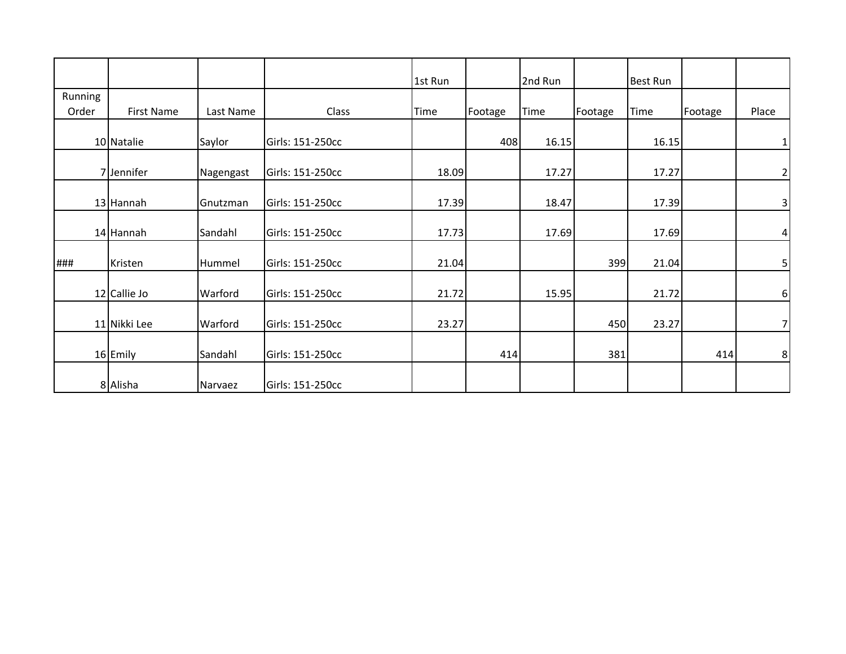|         |                   |           |                  | 1st Run |         | 2nd Run     |         | <b>Best Run</b> |         |                         |
|---------|-------------------|-----------|------------------|---------|---------|-------------|---------|-----------------|---------|-------------------------|
| Running |                   |           |                  |         |         |             |         |                 |         |                         |
| Order   | <b>First Name</b> | Last Name | Class            | Time    | Footage | <b>Time</b> | Footage | Time            | Footage | Place                   |
|         | 10 Natalie        | Saylor    | Girls: 151-250cc |         | 408     | 16.15       |         | 16.15           |         | 1                       |
|         | 7 Jennifer        | Nagengast | Girls: 151-250cc | 18.09   |         | 17.27       |         | 17.27           |         | $\mathbf{2}$            |
|         | 13 Hannah         | Gnutzman  | Girls: 151-250cc | 17.39   |         | 18.47       |         | 17.39           |         | $\overline{\mathbf{3}}$ |
|         | 14 Hannah         | Sandahl   | Girls: 151-250cc | 17.73   |         | 17.69       |         | 17.69           |         | $\overline{4}$          |
| ###     | Kristen           | Hummel    | Girls: 151-250cc | 21.04   |         |             | 399     | 21.04           |         | $\mathsf{5}$            |
|         | 12 Callie Jo      | Warford   | Girls: 151-250cc | 21.72   |         | 15.95       |         | 21.72           |         | 6 <sup>1</sup>          |
|         | 11 Nikki Lee      | Warford   | Girls: 151-250cc | 23.27   |         |             | 450     | 23.27           |         | 7 <sup>1</sup>          |
|         | 16 Emily          | Sandahl   | Girls: 151-250cc |         | 414     |             | 381     |                 | 414     | 8 <sup>1</sup>          |
|         | 8 Alisha          | Narvaez   | Girls: 151-250cc |         |         |             |         |                 |         |                         |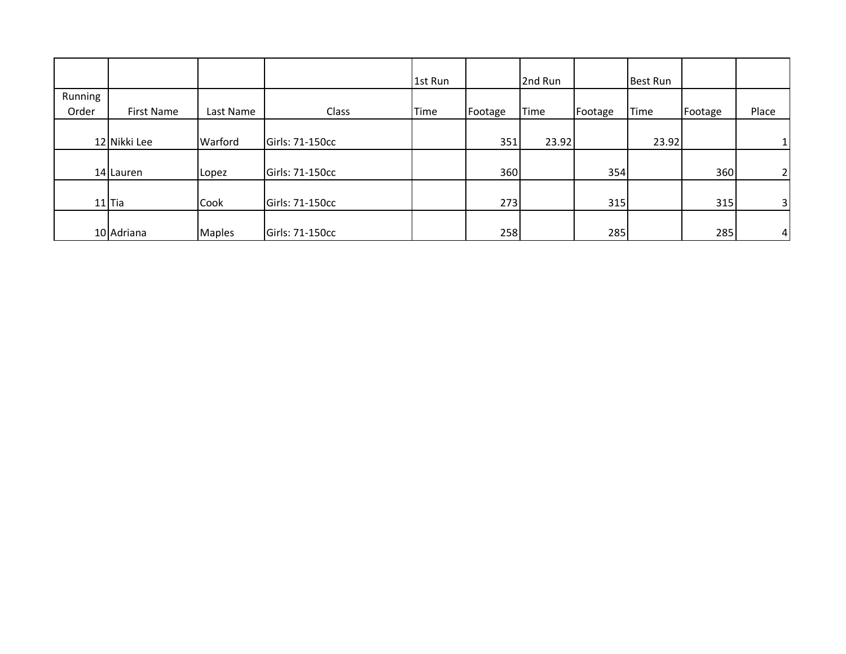|         |                   |               |                 | 1st Run |         | 2nd Run     |         | Best Run    |         |                |
|---------|-------------------|---------------|-----------------|---------|---------|-------------|---------|-------------|---------|----------------|
| Running |                   |               |                 |         |         |             |         |             |         |                |
| Order   | <b>First Name</b> | Last Name     | Class           | Time    | Footage | <b>Time</b> | Footage | <b>Time</b> | Footage | Place          |
|         | 12 Nikki Lee      | Warford       | Girls: 71-150cc |         | 351     | 23.92       |         | 23.92       |         | 1 <sup>1</sup> |
|         | 14 Lauren         | Lopez         | Girls: 71-150cc |         | 360     |             | 354     |             | 360     | 2 <sub>1</sub> |
|         | $11$ Tia          | Cook          | Girls: 71-150cc |         | 273     |             | 315     |             | 315     | 3 <sup>1</sup> |
|         | 10 Adriana        | <b>Maples</b> | Girls: 71-150cc |         | 258     |             | 285     |             | 285     | 4 <sup>1</sup> |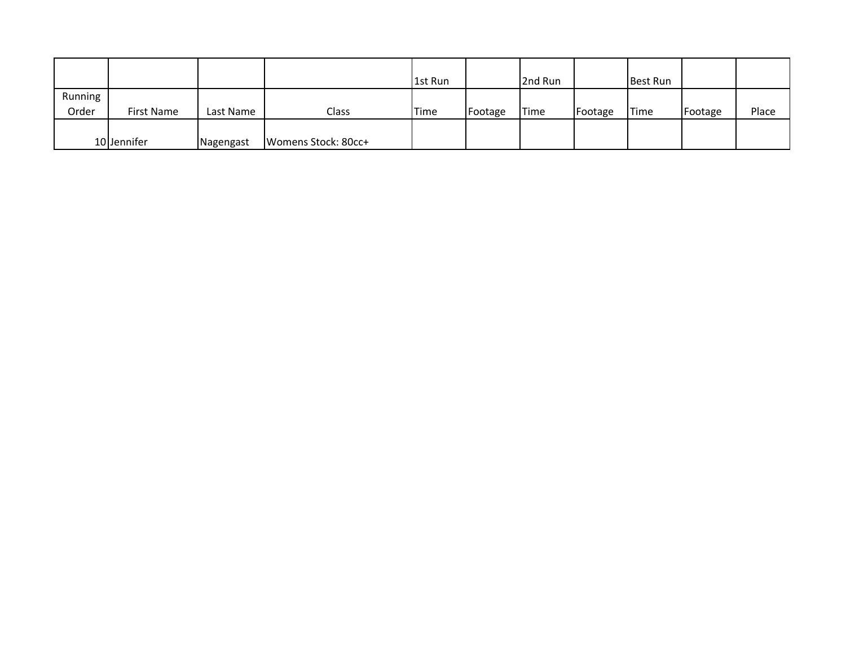|                  |             |           |                     | 1st Run |         | 2nd Run |         | <b>Best Run</b> |         |       |
|------------------|-------------|-----------|---------------------|---------|---------|---------|---------|-----------------|---------|-------|
| Running<br>Order | First Name  | Last Name | Class               | Time    | Footage | Time    | Footage | 'Time           | Footage | Place |
|                  |             |           |                     |         |         |         |         |                 |         |       |
|                  | 10 Jennifer | Nagengast | Womens Stock: 80cc+ |         |         |         |         |                 |         |       |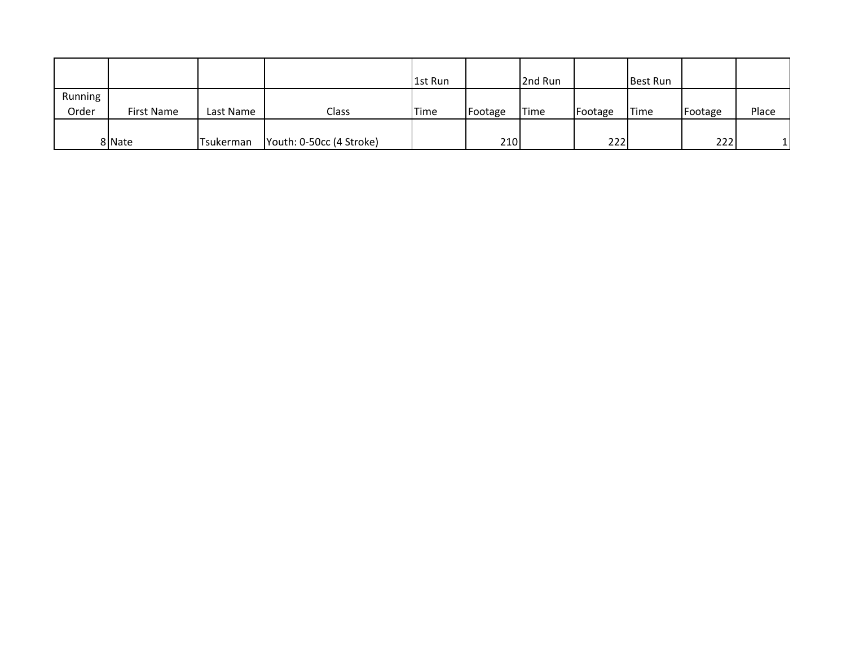|                  |            |           |                          | 1st Run |         | 2nd Run |         | <b>Best Run</b> |         |       |
|------------------|------------|-----------|--------------------------|---------|---------|---------|---------|-----------------|---------|-------|
| Running<br>Order | First Name | Last Name | Class                    | Time    | Footage | Time    | Footage | <b>Time</b>     | Footage | Place |
|                  | 8 Nate     | Tsukerman | Youth: 0-50cc (4 Stroke) |         | 210     |         | 222     |                 | 222     |       |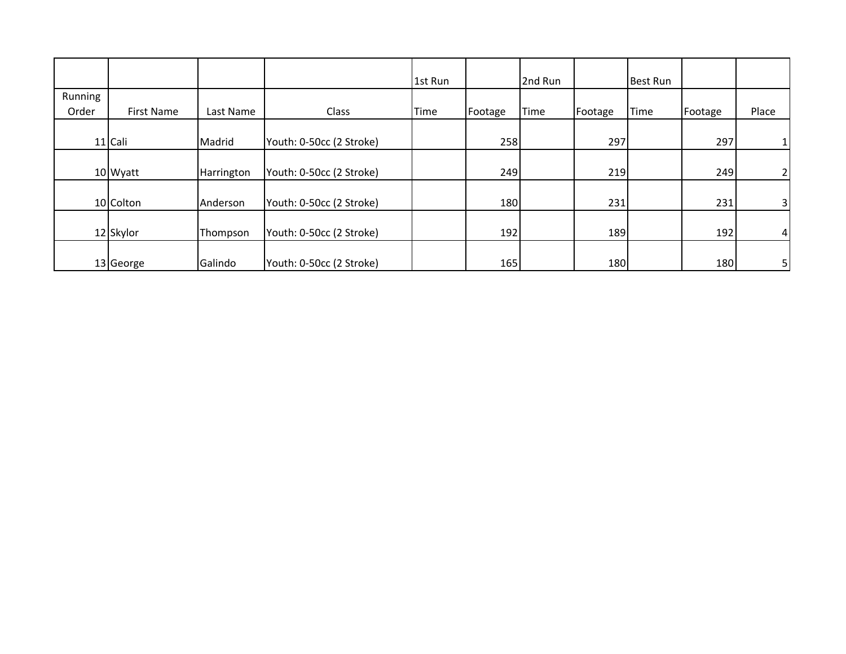|         |            |            |                          | 1st Run |         | 2nd Run     |         | <b>Best Run</b> |         |                |
|---------|------------|------------|--------------------------|---------|---------|-------------|---------|-----------------|---------|----------------|
| Running |            |            |                          |         |         |             |         |                 |         |                |
| Order   | First Name | Last Name  | Class                    | Time    | Footage | <b>Time</b> | Footage | Time            | Footage | Place          |
|         | 11 Cali    | Madrid     | Youth: 0-50cc (2 Stroke) |         | 258     |             | 297     |                 | 297     |                |
|         | 10 Wyatt   | Harrington | Youth: 0-50cc (2 Stroke) |         | 249     |             | 219     |                 | 249     | 21             |
|         | 10 Colton  | Anderson   | Youth: 0-50cc (2 Stroke) |         | 180     |             | 231     |                 | 231     | 3 <sup>1</sup> |
|         | 12 Skylor  | Thompson   | Youth: 0-50cc (2 Stroke) |         | 192     |             | 189     |                 | 192     | 41             |
|         | 13 George  | Galindo    | Youth: 0-50cc (2 Stroke) |         | 165     |             | 180     |                 | 180     | $5 \vert$      |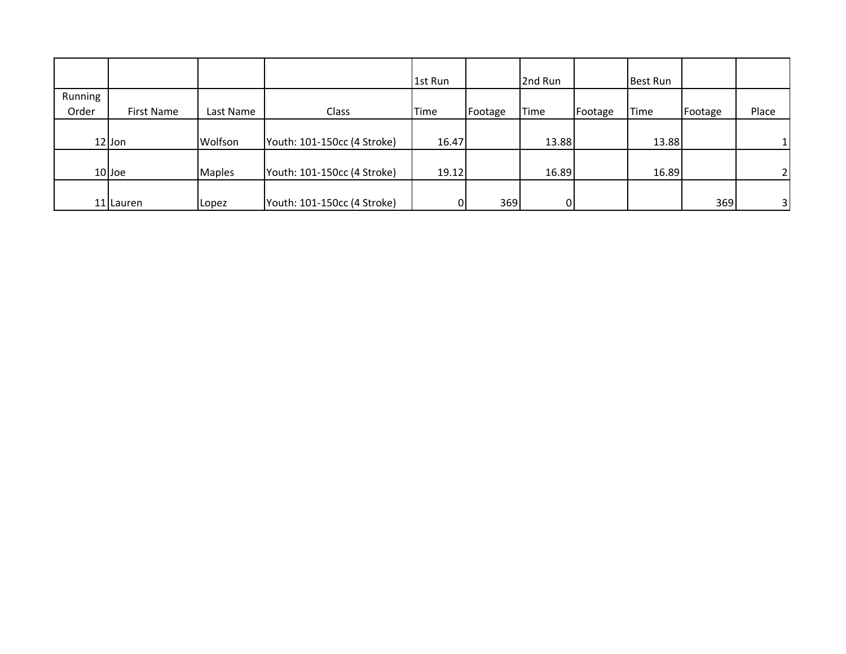|         |            |               |                             | 1st Run |         | 2nd Run     |         | <b>Best Run</b> |         |                |
|---------|------------|---------------|-----------------------------|---------|---------|-------------|---------|-----------------|---------|----------------|
| Running |            |               |                             |         |         |             |         |                 |         |                |
| Order   | First Name | Last Name     | Class                       | Time    | Footage | <b>Time</b> | Footage | Time            | Footage | Place          |
|         |            |               |                             |         |         |             |         |                 |         |                |
|         | $12$ Jon   | Wolfson       | Youth: 101-150cc (4 Stroke) | 16.47   |         | 13.88       |         | 13.88           |         |                |
|         |            |               |                             |         |         |             |         |                 |         |                |
|         | $10$ Joe   | <b>Maples</b> | Youth: 101-150cc (4 Stroke) | 19.12   |         | 16.89       |         | 16.89           |         | $\overline{2}$ |
|         |            |               |                             |         |         |             |         |                 |         |                |
|         | 11 Lauren  | Lopez         | Youth: 101-150cc (4 Stroke) |         | 369     | 0           |         |                 | 369     | 31             |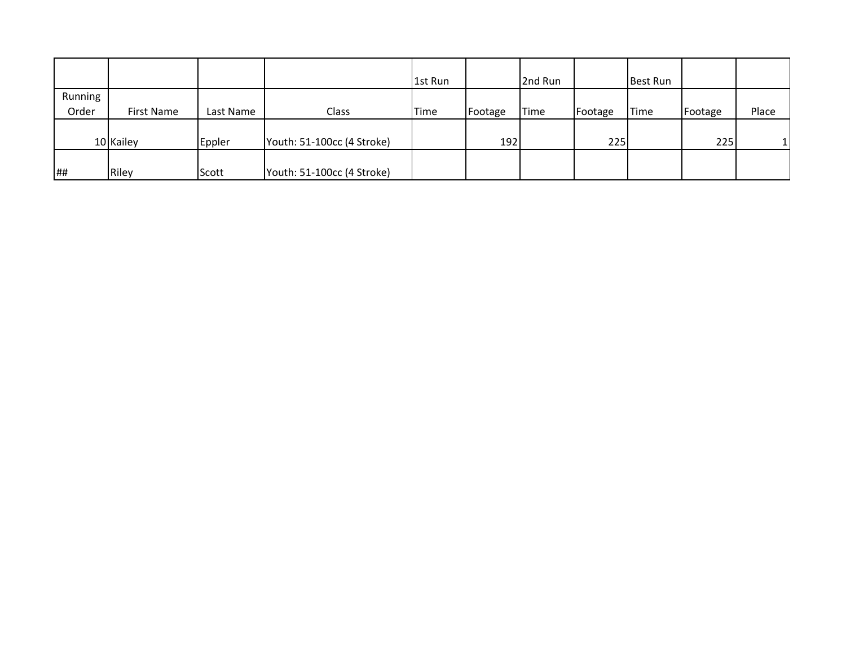|         |            |           |                            | 1st Run     |         | 2nd Run     |         | Best Run    |         |       |
|---------|------------|-----------|----------------------------|-------------|---------|-------------|---------|-------------|---------|-------|
| Running |            |           |                            |             |         |             |         |             |         |       |
| Order   | First Name | Last Name | Class                      | <b>Time</b> | Footage | <b>Time</b> | Footage | <b>Time</b> | Footage | Place |
|         |            |           |                            |             |         |             |         |             |         |       |
|         | 10 Kailey  | Eppler    | Youth: 51-100cc (4 Stroke) |             | 192     |             | 225     |             | 225     |       |
|         |            |           |                            |             |         |             |         |             |         |       |
| ##      | Riley      | Scott     | Youth: 51-100cc (4 Stroke) |             |         |             |         |             |         |       |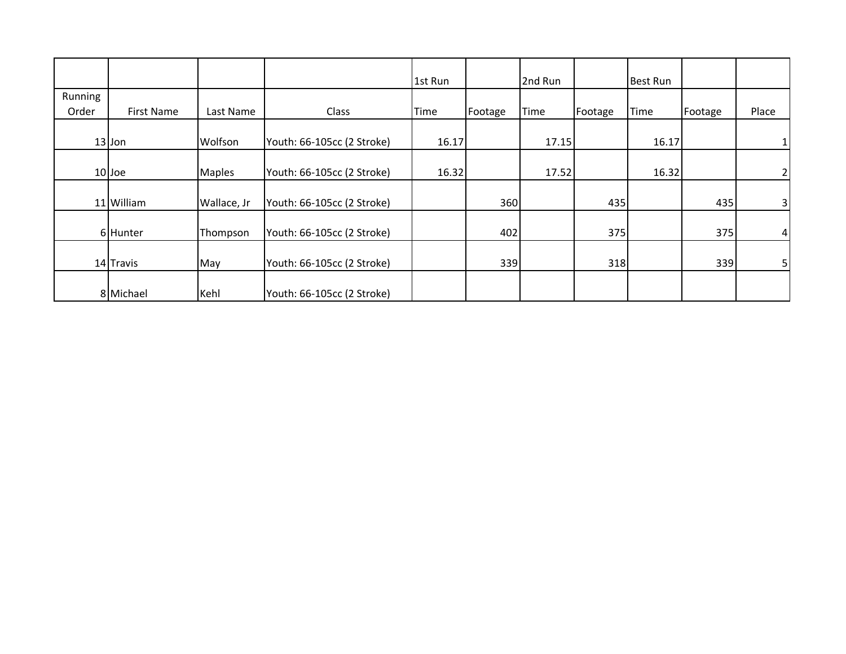|         |            |               |                            | 1st Run |         | 2nd Run |         | <b>Best Run</b> |         |                |
|---------|------------|---------------|----------------------------|---------|---------|---------|---------|-----------------|---------|----------------|
| Running |            |               |                            |         |         |         |         |                 |         |                |
| Order   | First Name | Last Name     | Class                      | Time    | Footage | Time    | Footage | Time            | Footage | Place          |
|         |            |               |                            |         |         |         |         |                 |         |                |
|         | $13$ Jon   | Wolfson       | Youth: 66-105cc (2 Stroke) | 16.17   |         | 17.15   |         | 16.17           |         |                |
|         |            |               |                            |         |         |         |         |                 |         |                |
|         | 10 Joe     | <b>Maples</b> | Youth: 66-105cc (2 Stroke) | 16.32   |         | 17.52   |         | 16.32           |         | 2 <sub>1</sub> |
|         |            |               |                            |         |         |         |         |                 |         |                |
|         | 11 William | Wallace, Jr   | Youth: 66-105cc (2 Stroke) |         | 360     |         | 435     |                 | 435     | 3 <sup>1</sup> |
|         |            |               |                            |         |         |         |         |                 |         |                |
|         | 6 Hunter   | Thompson      | Youth: 66-105cc (2 Stroke) |         | 402     |         | 375     |                 | 375     | 41             |
|         |            |               |                            |         |         |         |         |                 |         |                |
|         | 14 Travis  | May           | Youth: 66-105cc (2 Stroke) |         | 339     |         | 318     |                 | 339     | 5 <sub>l</sub> |
|         |            |               |                            |         |         |         |         |                 |         |                |
|         | 8 Michael  | Kehl          | Youth: 66-105cc (2 Stroke) |         |         |         |         |                 |         |                |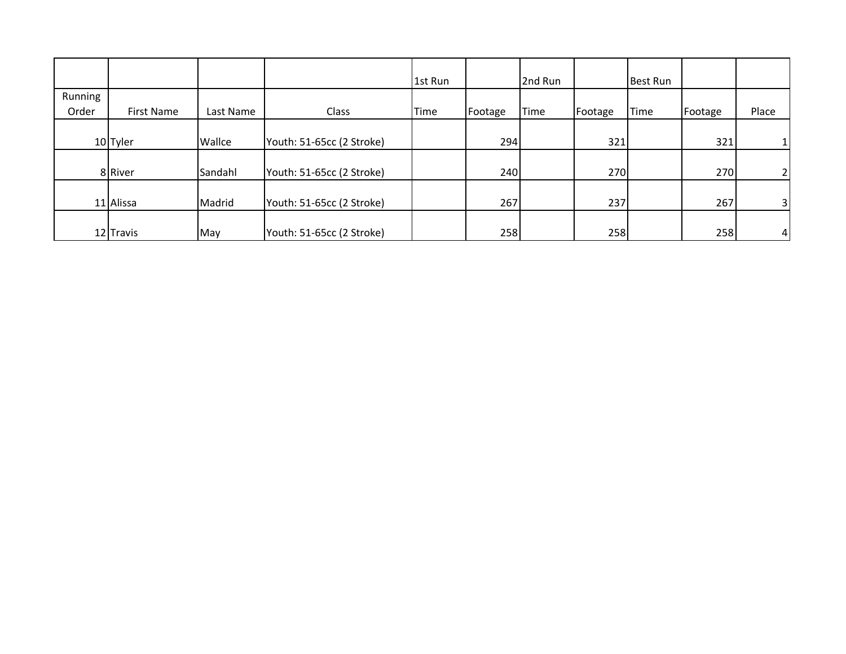|         |            |           |                           | 1st Run |         | 2nd Run |         | <b>Best Run</b> |         |                |
|---------|------------|-----------|---------------------------|---------|---------|---------|---------|-----------------|---------|----------------|
| Running |            |           |                           |         |         |         |         |                 |         |                |
| Order   | First Name | Last Name | Class                     | Time    | Footage | Time    | Footage | <b>Time</b>     | Footage | Place          |
|         |            |           |                           |         |         |         |         |                 |         |                |
|         | 10 Tyler   | Wallce    | Youth: 51-65cc (2 Stroke) |         | 294     |         | 321     |                 | 321     | 1 <sup>1</sup> |
|         |            |           |                           |         |         |         |         |                 |         |                |
|         | 8 River    | Sandahl   | Youth: 51-65cc (2 Stroke) |         | 240     |         | 270     |                 | 270     | 2 <sub>1</sub> |
|         |            |           |                           |         |         |         |         |                 |         |                |
|         | 11 Alissa  | Madrid    | Youth: 51-65cc (2 Stroke) |         | 267     |         | 237     |                 | 267     | 3 <sup>1</sup> |
|         |            |           |                           |         |         |         |         |                 |         |                |
|         | 12 Travis  | May       | Youth: 51-65cc (2 Stroke) |         | 258     |         | 258     |                 | 258     | 4 <sup>1</sup> |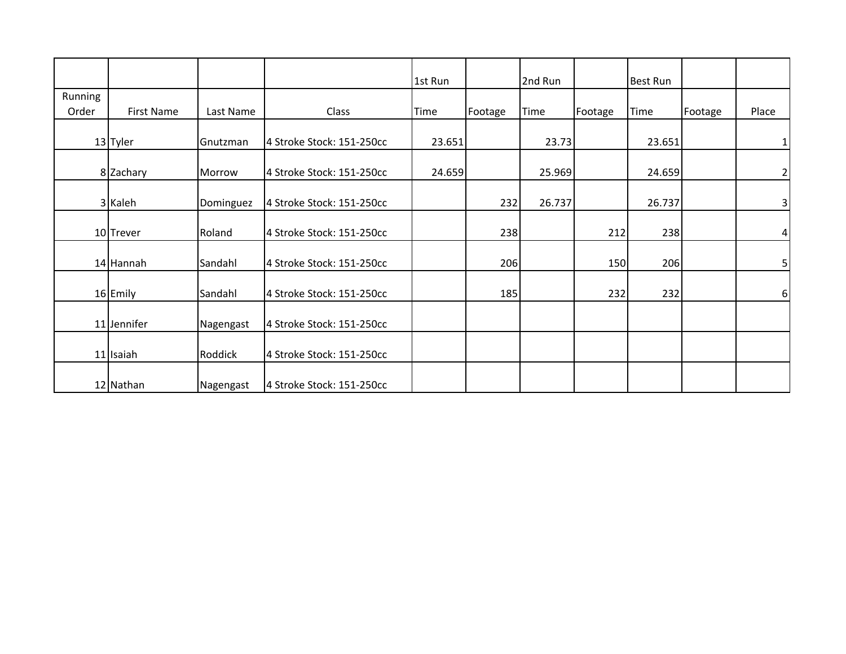|         |                   |           |                           | 1st Run |         | 2nd Run |         | <b>Best Run</b> |         |                 |
|---------|-------------------|-----------|---------------------------|---------|---------|---------|---------|-----------------|---------|-----------------|
| Running |                   |           |                           |         |         |         |         |                 |         |                 |
| Order   | <b>First Name</b> | Last Name | Class                     | Time    | Footage | Time    | Footage | Time            | Footage | Place           |
|         | 13 Tyler          | Gnutzman  | 4 Stroke Stock: 151-250cc | 23.651  |         | 23.73   |         | 23.651          |         | 1               |
|         | 8 Zachary         | Morrow    | 4 Stroke Stock: 151-250cc | 24.659  |         | 25.969  |         | 24.659          |         | $\overline{2}$  |
|         | 3 Kaleh           | Dominguez | 4 Stroke Stock: 151-250cc |         | 232     | 26.737  |         | 26.737          |         | $\overline{3}$  |
|         | 10 Trever         | Roland    | 4 Stroke Stock: 151-250cc |         | 238     |         | 212     | 238             |         | $\vert 4 \vert$ |
|         | 14 Hannah         | Sandahl   | 4 Stroke Stock: 151-250cc |         | 206     |         | 150     | 206             |         | $5 \mid$        |
|         | 16 Emily          | Sandahl   | 4 Stroke Stock: 151-250cc |         | 185     |         | 232     | 232             |         | 6 <sup>1</sup>  |
|         | 11 Jennifer       | Nagengast | 4 Stroke Stock: 151-250cc |         |         |         |         |                 |         |                 |
|         | 11 Isaiah         | Roddick   | 4 Stroke Stock: 151-250cc |         |         |         |         |                 |         |                 |
|         | 12 Nathan         | Nagengast | 4 Stroke Stock: 151-250cc |         |         |         |         |                 |         |                 |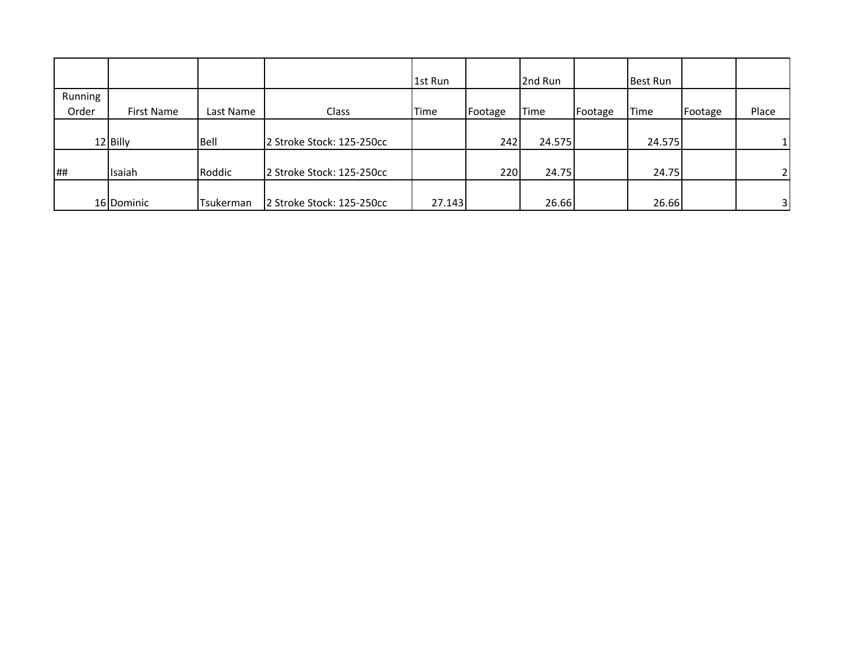|         |            |           |                           | 1st Run |         | 2nd Run     |         | <b>Best Run</b> |         |                |
|---------|------------|-----------|---------------------------|---------|---------|-------------|---------|-----------------|---------|----------------|
| Running |            |           |                           |         |         |             |         |                 |         |                |
| Order   | First Name | Last Name | Class                     | Time    | Footage | <b>Time</b> | Footage | Time            | Footage | Place          |
|         |            |           |                           |         |         |             |         |                 |         |                |
|         | 12 Billy   | Bell      | 2 Stroke Stock: 125-250cc |         | 242     | 24.575      |         | 24.575          |         |                |
|         |            |           |                           |         |         |             |         |                 |         |                |
| ##      | Isaiah     | Roddic    | 2 Stroke Stock: 125-250cc |         | 220     | 24.75       |         | 24.75           |         | $\overline{2}$ |
|         |            |           |                           |         |         |             |         |                 |         |                |
|         | 16 Dominic | Tsukerman | 2 Stroke Stock: 125-250cc | 27.143  |         | 26.66       |         | 26.66           |         | 31             |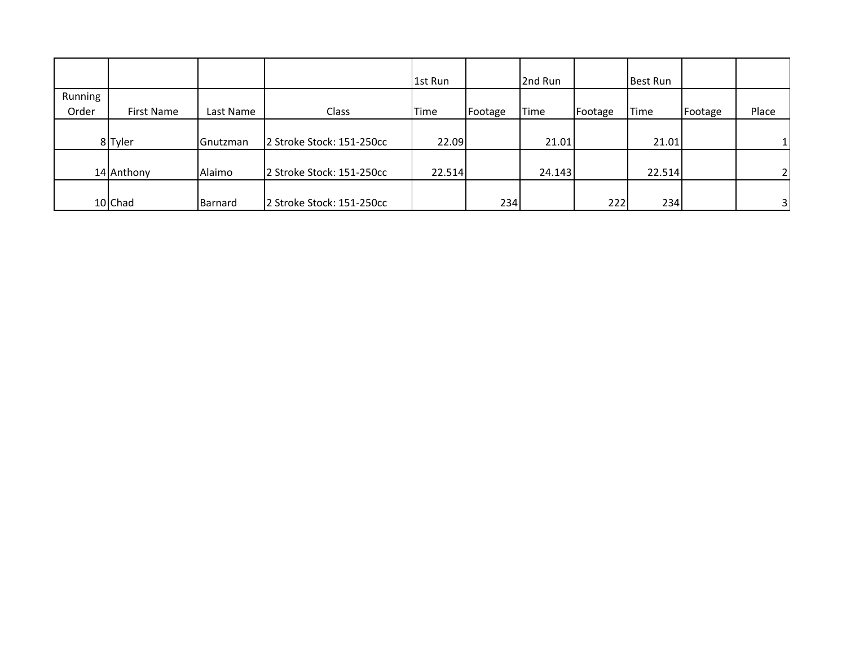|         |            |           |                           | 1st Run |         | 2nd Run     |         | Best Run |         |                         |
|---------|------------|-----------|---------------------------|---------|---------|-------------|---------|----------|---------|-------------------------|
| Running |            |           |                           |         |         |             |         |          |         |                         |
| Order   | First Name | Last Name | Class                     | Time    | Footage | <b>Time</b> | Footage | Time     | Footage | Place                   |
|         |            |           |                           |         |         |             |         |          |         |                         |
|         | 8 Tyler    | Gnutzman  | 2 Stroke Stock: 151-250cc | 22.09   |         | 21.01       |         | 21.01    |         |                         |
|         |            |           |                           |         |         |             |         |          |         |                         |
|         | 14 Anthony | Alaimo    | 2 Stroke Stock: 151-250cc | 22.514  |         | 24.143      |         | 22.514   |         | $\mathcal{D}$           |
|         |            |           |                           |         |         |             |         |          |         |                         |
|         | 10 Chad    | Barnard   | 2 Stroke Stock: 151-250cc |         | 234     |             | 222     | 234      |         | $\overline{\mathbf{3}}$ |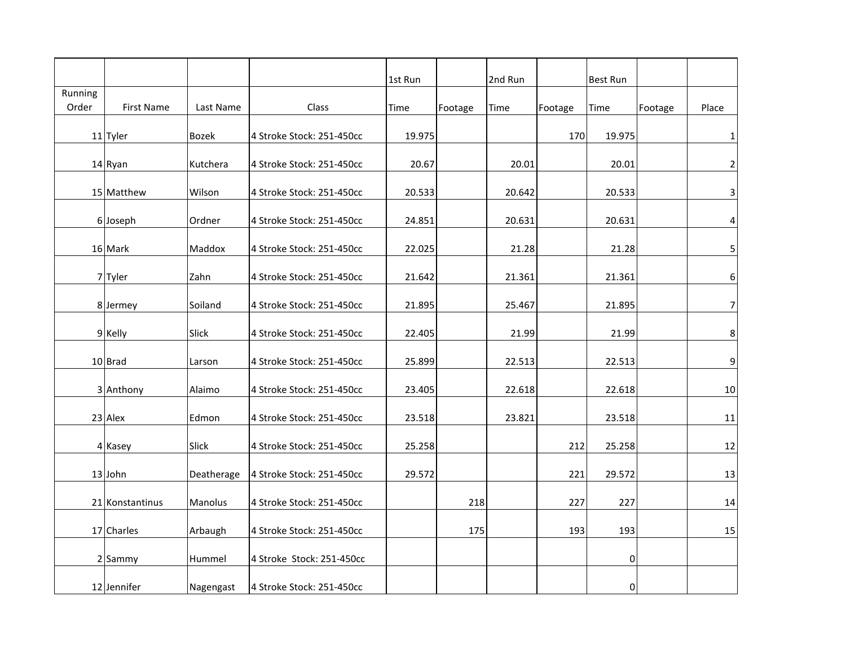|                  |                   |              |                           | 1st Run |         | 2nd Run |         | Best Run  |         |                         |
|------------------|-------------------|--------------|---------------------------|---------|---------|---------|---------|-----------|---------|-------------------------|
| Running<br>Order | <b>First Name</b> | Last Name    | Class                     | Time    | Footage | Time    | Footage | Time      | Footage | Place                   |
|                  | 11 Tyler          | <b>Bozek</b> | 4 Stroke Stock: 251-450cc | 19.975  |         |         | 170     | 19.975    |         | $\mathbf{1}$            |
|                  | 14 Ryan           | Kutchera     | 4 Stroke Stock: 251-450cc | 20.67   |         | 20.01   |         | 20.01     |         | $\overline{2}$          |
|                  | 15 Matthew        | Wilson       | 4 Stroke Stock: 251-450cc | 20.533  |         | 20.642  |         | 20.533    |         | $\overline{\mathbf{3}}$ |
|                  | 6 Joseph          | Ordner       | 4 Stroke Stock: 251-450cc | 24.851  |         | 20.631  |         | 20.631    |         | $\overline{4}$          |
|                  | 16 Mark           | Maddox       | 4 Stroke Stock: 251-450cc | 22.025  |         | 21.28   |         | 21.28     |         | 5 <sup>1</sup>          |
|                  | 7 Tyler           | Zahn         | 4 Stroke Stock: 251-450cc | 21.642  |         | 21.361  |         | 21.361    |         | $6 \mid$                |
|                  | 8 Jermey          | Soiland      | 4 Stroke Stock: 251-450cc | 21.895  |         | 25.467  |         | 21.895    |         | 7                       |
|                  | 9 Kelly           | Slick        | 4 Stroke Stock: 251-450cc | 22.405  |         | 21.99   |         | 21.99     |         | $\boldsymbol{8}$        |
|                  | 10 Brad           | Larson       | 4 Stroke Stock: 251-450cc | 25.899  |         | 22.513  |         | 22.513    |         | $\overline{9}$          |
|                  | 3 Anthony         | Alaimo       | 4 Stroke Stock: 251-450cc | 23.405  |         | 22.618  |         | 22.618    |         | 10                      |
|                  | 23 Alex           | Edmon        | 4 Stroke Stock: 251-450cc | 23.518  |         | 23.821  |         | 23.518    |         | 11                      |
|                  | 4 Kasey           | Slick        | 4 Stroke Stock: 251-450cc | 25.258  |         |         | 212     | 25.258    |         | 12                      |
|                  | 13 John           | Deatherage   | 4 Stroke Stock: 251-450cc | 29.572  |         |         | 221     | 29.572    |         | 13                      |
|                  | 21 Konstantinus   | Manolus      | 4 Stroke Stock: 251-450cc |         | 218     |         | 227     | 227       |         | 14                      |
|                  | 17 Charles        | Arbaugh      | 4 Stroke Stock: 251-450cc |         | 175     |         | 193     | 193       |         | 15                      |
|                  | 2 Sammy           | Hummel       | 4 Stroke Stock: 251-450cc |         |         |         |         | 0         |         |                         |
|                  | 12 Jennifer       | Nagengast    | 4 Stroke Stock: 251-450cc |         |         |         |         | $\pmb{0}$ |         |                         |